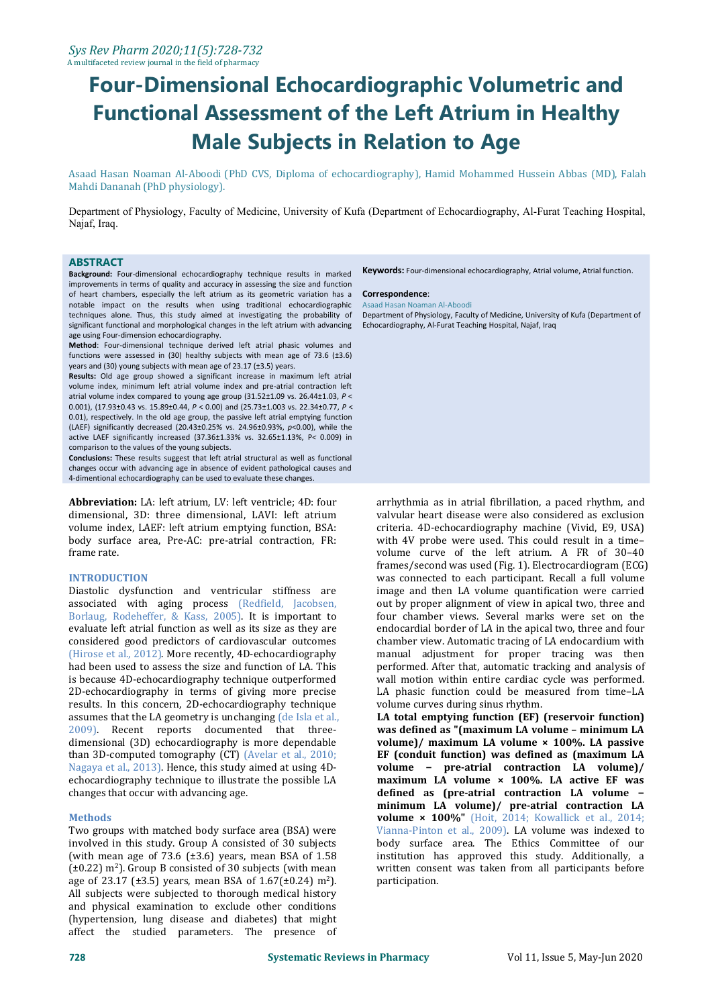Asaad Hasan Noaman Al-Aboodi (PhD CVS, Diploma of echocardiography), Hamid Mohammed Hussein Abbas (MD), Falah Mahdi Dananah (PhD physiology).

Department of Physiology, Faculty of Medicine, University of Kufa (Department of Echocardiography, Al-Furat Teaching Hospital, Najaf, Iraq.

## **ABSTRACT**

**Background:** Four-dimensional echocardiography technique results in marked improvements in terms of quality and accuracy in assessing the size and function of heart chambers, especially the left atrium as its geometric variation has a notable impact on the results when using traditional echocardiographic techniques alone. Thus, this study aimed at investigating the probability of significant functional and morphological changes in the left atrium with advancing age using Four-dimension echocardiography.

**Method**: Four-dimensional technique derived left atrial phasic volumes and functions were assessed in (30) healthy subjects with mean age of 73.6 ( $\pm$ 3.6) years and (30) young subjects with mean age of 23.17 (±3.5) years.

**Results:** Old age group showed a significant increase in maximum left atrial volume index, minimum left atrial volume index and pre-atrial contraction left atrial volume index compared to young age group (31.52±1.09 vs. 26.44±1.03, *P* < 0.001), (17.93±0.43 vs. 15.89±0.44, *P* < 0.00) and (25.73±1.003 vs. 22.34±0.77, *P* < 0.01), respectively. In the old age group, the passive left atrial emptying function (LAEF) significantly decreased (20.43±0.25% vs. 24.96±0.93%, *p*<0.00), while the active LAEF significantly increased (37.36±1.33% vs. 32.65±1.13%, P*<* 0.009) in comparison to the values of the young subjects.

**Conclusions:** These results suggest that left atrial structural as well as functional changes occur with advancing age in absence of evident pathological causes and 4-dimentional echocardiography can be used to evaluate these changes.

**Abbreviation:** LA: left atrium, LV: left ventricle; 4D: four dimensional, 3D: three dimensional, LAVI: left atrium body surface area, Pre-AC: pre-atrial contraction, FR: frame rate.

## **INTRODUCTION**

Diastolic dysfunction and ventricular stiffness are associated with aging process (Redfield, Jacobsen, Borlaug, Rodeheffer, & Kass, 2005). It is important to evaluate left atrial function as well as its size as they are considered good predictors of cardiovascular outcomes (Hirose et al., 2012). More recently, 4D-echocardiography had been used to assess the size and function of LA.This is because 4D-echocardiography technique outperformed 2D-echocardiography in terms of giving more precise LA phasic function could be mea<br>results. In this concern, 2D-echocardiography technique volume curves during sinus rhythm. results. In this concern, 2D-echocardiography technique assumes that the LA geometry is unchanging (de Isla etal., 2009). Recent reports documented that three dimensional (3D) echocardiography is more dependable than 3D-computed tomography (CT) (Avelar et al., 2010; Nagaya et al., 2013). Hence, this study aimed at using 4D echocardiography technique to illustrate the possible LA changes that occur with advancing age.

## **Methods**

Two groups with matched body surface area (BSA) were involved in this study. Group A consisted of 30 subjects (with mean age of 73.6  $(\pm 3.6)$  years, mean BSA of 1.58  $(\pm 0.22)$  m<sup>2</sup>). Group B consisted of 30 subjects (with mean age of 23.17 ( $\pm$ 3.5) years, mean BSA of 1.67( $\pm$ 0.24) m<sup>2</sup>). All subjects were subjected to thorough medical history and physical examination to exclude other conditions (hypertension, lung disease and diabetes) that might affect the studied parameters. The presence of

**Keywords:** Four-dimensional echocardiography, Atrial volume, Atrial function.

#### **Correspondence**:

#### Asaad Hasan Noaman Al-Aboodi

Department of Physiology, Faculty of Medicine, University of Kufa (Department of Echocardiography, Al-Furat Teaching Hospital, Najaf, Iraq

arrhythmia as in atrial fibrillation, a paced rhythm, and valvular heart disease were also considered as exclusion criteria. 4D-echocardiography machine (Vivid, E9, USA) with 4V probe were used. This could result in a time– volume curve of the left atrium. A FR of 30–40 frames/second was used (Fig. 1). Electrocardiogram (ECG) was connected to each participant. Recall a full volume image and then LA volume quantification were carried out by proper alignment of view in apical two, three and four chamber views. Several marks were set on the endocardial border of LA in the apical two, three and four chamber view. Automatic tracing of LA endocardium with manual adjustment for proper tracing was then performed. After that, automatic tracking and analysis of wall motion within entire cardiac cycle was performed. LA phasic function could be measured from time–LA

LA total emptying function (EF) (reservoir function) **was defined as "(maximum LA volume – minimum LA volume)/ maximum LA volume × 100%. LA passive EF (conduit function) was defined as (maximum LA volume − pre-atrial contraction LA volume)/ maximum LA volume × 100%. LA active EF was defined as (pre-atrial contraction LA volume − minimum LA volume)/ pre-atrial contraction LA volume × 100%"** (Hoit, 2014; Kowallick et al., 2014; Vianna-Pinton et al., 2009). LA volume was indexed to body surface area. The Ethics Committee of our institution has approved this study. Additionally, a written consent was taken from all participants before participation.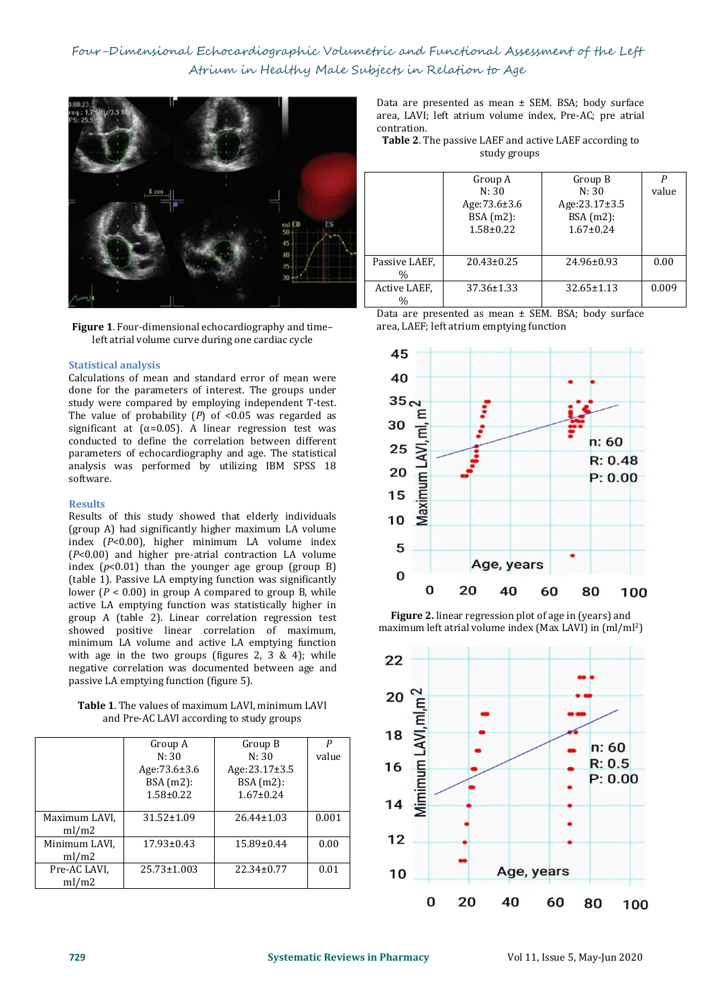

**Figure 1**. Four-dimensional echocardiography and time– left atrial volume curve during one cardiac cycle

## **Statistical analysis**

Calculations of mean and standard error of mean were  $40$ done for the parameters of interest. The groups under<br>
study were compared by employing independent T-test  $35 \in$ study were compared by employing independent T-test. The value of probability  $(P)$  of <0.05 was regarded as<br>significant at  $(a=0.05)$  A linear regression test was significant at  $(\alpha=0.05)$ . A linear regression test was 30 conducted to define the correlation between different parameters of echocardiography and age. The statistical Examples to define the correlation between unterent<br>parameters of echocardiography and age. The statistical<br>analysis was performed by utilizing IBM SPSS 18<br>software.<br>**Results**<br>Results of this study showed that elderly indi software.

# **Results**

Results of this study showed that elderly individuals **10** (group A) had significantly higher maximum LA volume index (*P*<0.00), higher minimum LA volume index (*P*<0.00) and higher pre-atrial contraction LA volume index  $(p<0.01)$  than the younger age group (group B)  $(t<sub>2</sub>)$   $($ the 1) Passive IA emptying function was significantly  $($ (table 1). Passive LA emptying function was significantly  $\mathbf{U}$   $\mathbf{U}$   $\mathbf{U}$   $\mathbf{U}$   $\mathbf{U}$   $\mathbf{U}$   $\mathbf{U}$   $\mathbf{U}$   $\mathbf{U}$   $\mathbf{U}$   $\mathbf{U}$   $\mathbf{U}$   $\mathbf{U}$   $\mathbf{U}$   $\mathbf{U}$   $\mathbf{U}$   $\mathbf{U}$   $\mathbf{U}$  lower (*P* < 0.00) in group A compared to group B, while active LA emptying function was statistically higher in group A (table 2). Linear correlation regression test showed positive linear correlation of maximum, minimum LA volume and active LA emptying function with age in the two groups (figures 2,  $3 \& 4$ ); while 22 negative correlation was documented between age and passive LA emptying function (figure 5).

| <b>Table 1.</b> The values of maximum LAVI. minimum LAVI | __ |
|----------------------------------------------------------|----|
| and Pre-AC LAVI according to study groups                |    |

|               |                  |                  |       | ιŏ    |  |
|---------------|------------------|------------------|-------|-------|--|
|               | Group A          | Group B          | P     |       |  |
|               | N: 30            | N:30             | value |       |  |
|               | Age:73.6±3.6     | Age:23.17±3.5    |       | 16    |  |
|               | BSA(m2):         | BSA(m2):         |       |       |  |
|               | $1.58 \pm 0.22$  | $1.67 \pm 0.24$  |       | limin |  |
|               |                  |                  |       | 14    |  |
| Maximum LAVI, | $31.52 \pm 1.09$ | $26.44 \pm 1.03$ | 0.001 |       |  |
| ml/m2         |                  |                  |       |       |  |
| Minimum LAVI, | $17.93 \pm 0.43$ | 15.89±0.44       | 0.00  | 12    |  |
| ml/m2         |                  |                  |       |       |  |
| Pre-AC LAVI,  | 25.73±1.003      | $22.34 \pm 0.77$ | 0.01  | 10    |  |
| ml/m2         |                  |                  |       |       |  |
|               |                  |                  |       |       |  |

Data are presented as mean ± SEM. BSA; body surface area, LAVI; left atrium volume index, Pre-AC; pre atrial

Table 2. The passive LAEF and active LAEF according to study groups

|                       | Group A<br>N: 30<br>Age:73.6±3.6<br>BSA(m2):<br>$1.58 \pm 0.22$ | Group B<br>N: 30<br>Age:23.17±3.5<br>$BSA(m2)$ :<br>$1.67 \pm 0.24$ | value |  |
|-----------------------|-----------------------------------------------------------------|---------------------------------------------------------------------|-------|--|
| Passive LAEF.<br>$\%$ | $20.43 \pm 0.25$                                                | 24.96±0.93                                                          | 0.00  |  |
| Active LAEF,<br>$\%$  | $37.36 \pm 1.33$                                                | $32.65 \pm 1.13$                                                    | 0.009 |  |

Data are presented as mean ± SEM. BSA; body surface area, LAEF; left atrium emptying function



**Figure 2.** linear regression plot of age in (years) and maximum left atrial volume index (Max LAVI) in (ml/ml<sup>2</sup>)

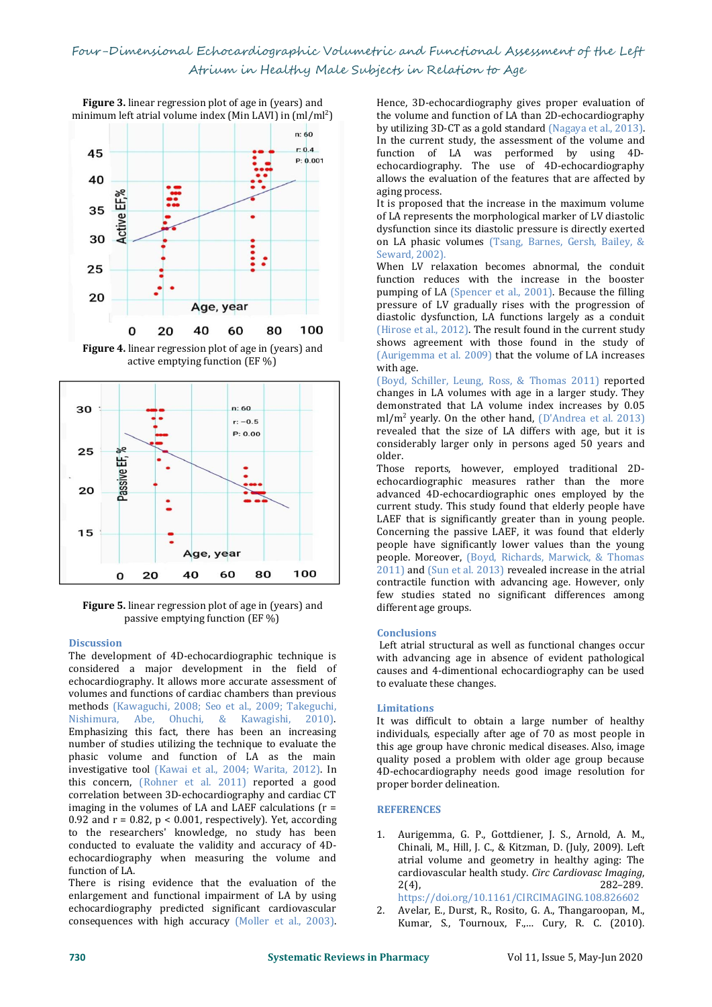**Figure** 3. linear regression plot of age in (years) and minimum left atrial volume index (Min LAVI) in (ml/ml<sup>2</sup>)



**Figure 4.** linear regression plot of age in (years) and active emptying function (EF %)



**Figure 5.** linear regression plot of age in (years) and passive emptying function (EF %)

# **Discussion**

The development of 4D-echocardiographic technique is considered a major development in the field of echocardiography. It allows more accurate assessment of volumes and functions of cardiac chambers than previous methods (Kawaguchi, 2008; Seo et al., 2009; Takeguchi, Nishimura, Abe, Ohuchi, & Kawagishi, 2010). Ohuchi, & Kawagishi, 2010). Emphasizing this fact, there has been an increasing number of studies utilizing the technique to evaluate the phasic volume and function of LA as the main investigative tool (Kawai et al., 2004; Warita, 2012). In this concern, (Rohner et al. 2011) reported a good correlation between 3D-echocardiography and cardiac CT imaging in the volumes of LA and LAEF calculations  $(r =$ 0.92 and  $r = 0.82$ ,  $p < 0.001$ , respectively). Yet, according to the researchers' knowledge, no study has been 1.<br>conducted to evaluate the validity and accuracy of 4Dechocardiography when measuring the volume and function of LA.

There is rising evidence that the evaluation of the  $2(4)$ , enlargement and functional impairment of LA by using<br>echocardiography predicted significant cardiovascular 2 echocardiography predicted significant cardiovascular consequences with high accuracy (Moller et al., 2003).

Hence, 3D-echocardiography gives proper evaluation of the volume and function of LA than 2D-echocardiography by utilizing 3D-CT as a gold standard (Nagaya et al., 2013). In the current study, the assessment of the volume and function of LA was performed by using 4D echocardiography. The use of 4D-echocardiography allows the evaluation of the features that are affected by aging process.

It is proposed that the increase in the maximum volume of LA represents the morphological marker of LV diastolic dysfunction since its diastolic pressure is directly exerted on LA phasic volumes (Tsang, Barnes, Gersh, Bailey, & Seward, 2002).

When LV relaxation becomes abnormal, the conduit function reduces with the increase in the booster pumping of LA (Spencer et al., 2001). Because the filling pressure of LV gradually rises with the progression of diastolic dysfunction, LA functions largely as a conduit (Hirose et al., 2012). The result found in the current study shows agreement with those found in the study of (Aurigemma et al. 2009) that the volume of LA increases with age.

(Boyd, Schiller, Leung, Ross, & Thomas 2011) reported changes in LA volumes with age in a larger study. They demonstrated that LA volume index increases by 0.05 ml/m<sup>2</sup> yearly. On the other hand,  $(D'$ Andrea et al. 2013) revealed that the size of LA differs with age, but it is considerably larger only in persons aged 50 years and older.

Those reports, however, employed traditional 2D echocardiographic measures rather than the more advanced 4D-echocardiographic ones employed by the current study. This study found that elderly people have LAEF that is significantly greater than in young people. Concerning the passive LAEF, it was found that elderly people have significantly lower values than the young people. Moreover, (Boyd, Richards, Marwick, & Thomas 2011) and (Sun et al. 2013) revealed increase in the atrial contractile function with advancing age. However, only few studies stated no significant differences among different age groups.

# **Conclusions**

Left atrial structural as well as functional changes occur with advancing age in absence of evident pathological causes and 4-dimentional echocardiography can be used to evaluate these changes.

## **Limitations**

It was difficult to obtain a large number of healthy individuals, especially after age of 70 as most people in this age group have chronic medical diseases. Also, image quality posed a problem with older age group because 4D-echocardiography needs good image resolution for proper border delineation.

## **REFERENCES**

1. Aurigemma, G. P., Gottdiener, J. S., Arnold, A. M., Chinali, M., Hill, J. C., & Kitzman, D. (July, 2009). Left atrial volume and geometry in healthy aging: The cardiovascular health study. *Circ Cardiovasc Imaging*, 2(4), 282–289.

https://doi.org/10.1161/CIRCIMAGING.108.826602 2. Avelar, E., Durst, R., Rosito, G. A., Thangaroopan, M., Kumar, S., Tournoux, F.,… Cury, R. C. (2010).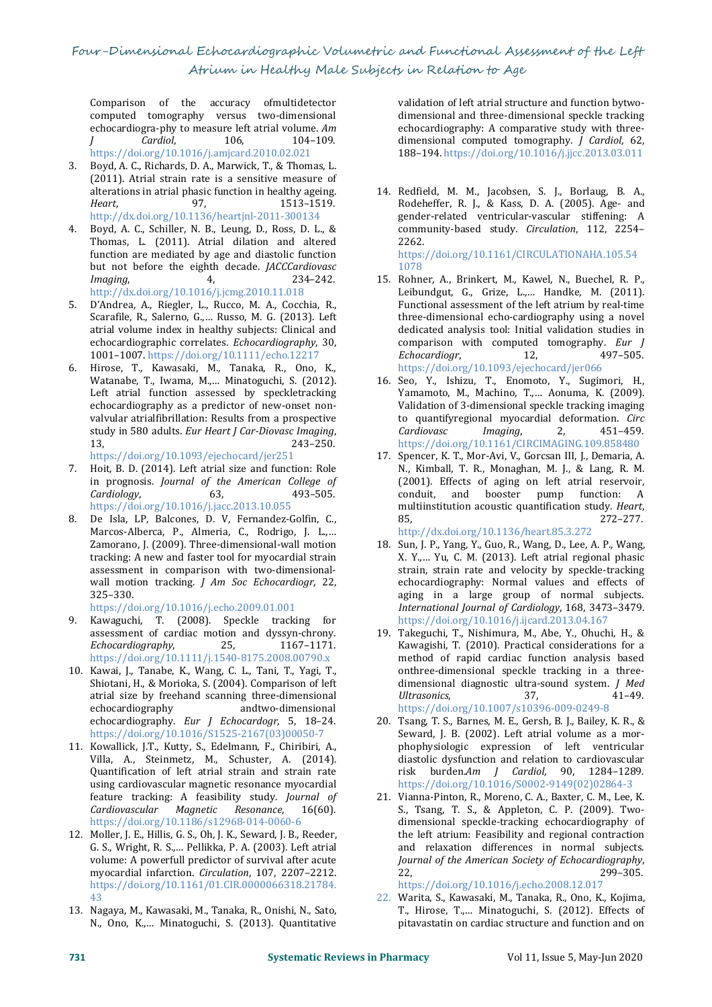Comparison of the accuracy ofmultidetector computed tomography versus two-dimensional echocardiogra-phy to measure left atrial volume. *Am J Cardiol*, 106, 104–109.

https://doi.org/10.1016/j.amjcard.2010.02.021

- 3. Boyd, A. C., Richards, D. A., Marwick, T., & Thomas, L. (2011). Atrial strain rate is a sensitive measure of alterations in atrial phasic function in healthy ageing. *Heart*, 97, 1513–1519. http://dx.doi.org/10.1136/heartjnl-2011-300134
- 4. Boyd, A. C., Schiller, N. B., Leung, D., Ross, D. L., & Thomas, L. (2011). Atrial dilation and altered function are mediated by age and diastolic function but not before the eighth decade. *IACCCardiovasc* 1078 but not before the eighth decade. *JACCCardiovasc Imaging*, http://dx.doi.org/10.1016/j.jcmg.2010.11.018
- 5. D'Andrea, A., Riegler, L., Rucco, M. A., Cocchia, R., Scarafile, R., Salerno, G.,… Russo, M. G. (2013). Left atrial volume index in healthy subjects: Clinical and echocardiographic correlates. *Echocardiography*, 30, 1001–1007. https://doi.org/10.1111/echo.12217
- 6. Hirose, T., Kawasaki, M., Tanaka, R., Ono, K., Watanabe, T., Iwama, M.,… Minatoguchi, S. (2012). Left atrial function assessed by speckletracking echocardiography as a predictor of new-onset non valvular atrialfibrillation: Results from a prospective buttless to quantifer that the study in 580 adults. *Eur Heart J Car-Diovasc Imaging, Cardiovasc* study in 580 adults. *Eur Heart J Car-Diovasc Imaging*, 13, 243–250.

https://doi.org/10.1093/ejechocard/jer251 7. Hoit, B. D. (2014). Left atrial size and function: Role

- in prognosis. *Journal of the American College of Cardiology*, https://doi.org/10.1016/j.jacc.2013.10.055 mu<br>De Isla, LP, Balcones, D. V, Fernandez-Golfin, C., 85,
- 8. De Isla, LP, Balcones, D. V, Fernandez-Golfin, C., Marcos-Alberca, P., Almeria, C., Rodrigo, J. L.,… Zamorano, J. (2009). Three-dimensional-wall motion tracking: A new and faster tool for myocardial strain assessment in comparison with two-dimensional wall motion tracking. *J Am Soc Echocardiogr*, 22, 325–330.

https://doi.org/10.1016/j.echo.2009.01.001

- 9. Kawaguchi, T. (2008). Speckle tracking for assessment of cardiac motion and dyssyn-chrony. *Echocardiography*, 25, 1167–1171. https://doi.org/10.1111/j.1540-8175.2008.00790.x
- 10. Kawai, J., Tanabe, K., Wang, C. L., Tani, T., Yagi, T., Shiotani, H., & Morioka, S. (2004). Comparison of left dimensional<br>atrial size by freehand scanning three-dimensional *Ultrasonics*. atrial size by freehand scanning three-dimensional andtwo-dimensional echocardiography. *Eur J Echocardogr*, 5, 18–24. https://doi.org/10.1016/S1525-2167(03)00050-7
- 11. Kowallick, J.T., Kutty, S., Edelmann, F., Chiribiri, A., Villa, A., Steinmetz, M., Schuster, A. (2014). Quantification of left atrial strain and strain rate using cardiovascular magnetic resonance myocardial feature tracking: A feasibility study. *Journal of*  $Cardiovascular$ https://doi.org/10.1186/s12968-014-0060-6
- 12. Moller, J. E., Hillis, G. S., Oh, J. K., Seward, J. B., Reeder, G. S., Wright, R. S.,… Pellikka, P. A. (2003). Left atrial volume: A powerfull predictor of survival after acute *Journyocardial infarction. Circulation*, 107, 2207–2212. 22, myocardial infarction. *Circulation*, 107, 2207–2212. https://doi.org/10.1161/01.CIR.0000066318.21784. 43
- 13. Nagaya, M., Kawasaki, M., Tanaka, R., Onishi, N., Sato, N., Ono, K.,… Minatoguchi, S. (2013). Quantitative

validation of left atrial structure and function bytwo dimensional and three-dimensional speckle tracking echocardiography: A comparative study with three dimensional computed tomography. *J Cardiol*, 62, 188–194. https://doi.org/10.1016/j.jjcc.2013.03.011

14. Redfield, M. M., Jacobsen, S. J., Borlaug, B. A., Rodeheffer, R. J., & Kass, D. A. (2005). Age- and gender-related ventricular-vascular stiffening: A community-based study. *Circulation*, 112, 2254– 2262.

https://doi.org/10.1161/CIRCULATIONAHA.105.54 1078

- 15. Rohner, A., Brinkert, M., Kawel, N., Buechel, R. P., Leibundgut, G., Grize, L.,… Handke, M. (2011). Functional assessment of the left atrium by real-time three-dimensional echo-cardiography using a novel dedicated analysis tool: Initial validation studies in comparison with computed tomography. *Eur J* Echocardiogr, https://doi.org/10.1093/ejechocard/jer066
- 16. Seo, Y., Ishizu, T., Enomoto, Y., Sugimori, H., Yamamoto, M., Machino, T.,… Aonuma, K. (2009). Validation of 3-dimensional speckle tracking imaging to quantifyregional myocardial deformation. *Circ Cardiovasc Imaging*, 2, 451–459. https://doi.org/10.1161/CIRCIMAGING.109.858480
- 17. Spencer, K. T., Mor-Avi, V., Gorcsan III, J., Demaria, A. N., Kimball, T. R., Monaghan, M. J., & Lang, R. M. (2001). Effects of aging on left atrial reservoir, conduit, and booster pump function: A multiinstitution acoustic quantification study. *Heart*, 85, 272–277.
- http://dx.doi.org/10.1136/heart.85.3.272 18. Sun, J. P., Yang, Y., Guo, R., Wang, D., Lee, A. P., Wang, X. Y.,… Yu, C. M. (2013). Left atrial regional phasic strain, strain rate and velocity by speckle-tracking echocardiography: Normal values and effects of aging in <sup>a</sup> large group of normal subjects. *International Journal of Cardiology*, 168, 3473–3479. https://doi.org/10.1016/j.ijcard.2013.04.167
- 19. Takeguchi, T., Nishimura, M., Abe, Y., Ohuchi, H., & Kawagishi, T. (2010). Practical considerations for a method of rapid cardiac function analysis based onthree-dimensional speckle tracking in a three dimensional diagnostic ultra-sound system. *J Med Ultrasonics*, 37, 41–49. https://doi.org/10.1007/s10396-009-0249-8
- 20. Tsang, T. S., Barnes, M. E., Gersh, B. J., Bailey, K. R., & Seward, J. B. (2002). Left atrial volume as a morphophysiologic expression of left ventricular diastolic dysfunction and relation to cardiovascular risk burden.*Am J Cardiol*, 90, 1284–1289. https://doi.org/10.1016/S0002-9149(02)02864-3
- 21. Vianna-Pinton, R., Moreno, C. A., Baxter, C. M., Lee, K. S., Tsang, T. S., & Appleton, C. P. (2009). Two dimensional speckle-tracking echocardiography of the left atrium: Feasibility and regional contraction<br>and relaxation differences in normal subjects. and relaxation differences in normal subjects. *Journal of the American Society of Echocardiography*, 22, 299–305.

https://doi.org/10.1016/j.echo.2008.12.017

22. Warita, S., Kawasaki, M., Tanaka, R., Ono, K., Kojima, T., Hirose, T.,… Minatoguchi, S. (2012). Effects of pitavastatin on cardiac structure and function and on